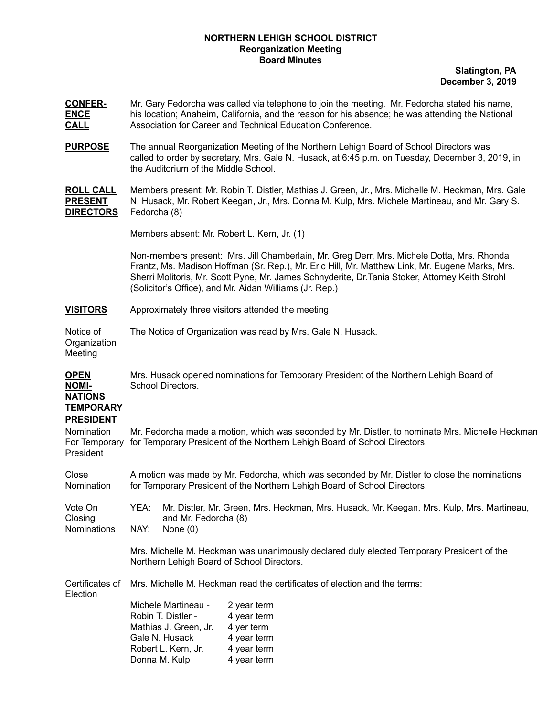## **NORTHERN LEHIGH SCHOOL DISTRICT Reorganization Meeting Board Minutes**

**Slatington, PA December 3, 2019**

- **CONFER-** Mr. Gary Fedorcha was called via telephone to join the meeting. Mr. Fedorcha stated his name, **ENCE** his location; Anaheim, California**,** and the reason for his absence; he was attending the National **CALL** Association for Career and Technical Education Conference.
- **PURPOSE** The annual Reorganization Meeting of the Northern Lehigh Board of School Directors was called to order by secretary, Mrs. Gale N. Husack, at 6:45 p.m. on Tuesday, December 3, 2019, in the Auditorium of the Middle School.

**ROLL CALL** Members present: Mr. Robin T. Distler, Mathias J. Green, Jr., Mrs. Michelle M. Heckman, Mrs. Gale **PRESENT** N. Husack, Mr. Robert Keegan, Jr., Mrs. Donna M. Kulp, Mrs. Michele Martineau, and Mr. Gary S. **DIRECTORS** Fedorcha (8)

Members absent: Mr. Robert L. Kern, Jr. (1)

Non-members present: Mrs. Jill Chamberlain, Mr. Greg Derr, Mrs. Michele Dotta, Mrs. Rhonda Frantz, Ms. Madison Hoffman (Sr. Rep.), Mr. Eric Hill, Mr. Matthew Link, Mr. Eugene Marks, Mrs. Sherri Molitoris, Mr. Scott Pyne, Mr. James Schnyderite, Dr.Tania Stoker, Attorney Keith Strohl (Solicitor's Office), and Mr. Aidan Williams (Jr. Rep.)

**VISITORS** Approximately three visitors attended the meeting.

Donna M. Kulp 4 year term

Notice of The Notice of Organization was read by Mrs. Gale N. Husack.

**Organization** Meeting

**OPEN** Mrs. Husack opened nominations for Temporary President of the Northern Lehigh Board of **NOMI-** School Directors.

## **NATIONS TEMPORARY**

## **PRESIDENT**

| PRESIDENT                                |                                                                                                                                                                               |                                    |                                                                                           |  |
|------------------------------------------|-------------------------------------------------------------------------------------------------------------------------------------------------------------------------------|------------------------------------|-------------------------------------------------------------------------------------------|--|
| Nomination<br>For Temporary<br>President | Mr. Fedorcha made a motion, which was seconded by Mr. Distler, to nominate Mrs. Michelle Heckman<br>for Temporary President of the Northern Lehigh Board of School Directors. |                                    |                                                                                           |  |
|                                          |                                                                                                                                                                               |                                    |                                                                                           |  |
| Close<br>Nomination                      | A motion was made by Mr. Fedorcha, which was seconded by Mr. Distler to close the nominations<br>for Temporary President of the Northern Lehigh Board of School Directors.    |                                    |                                                                                           |  |
| Vote On<br>Closing<br><b>Nominations</b> | YEA:<br>NAY:                                                                                                                                                                  | and Mr. Fedorcha (8)<br>None $(0)$ | Mr. Distler, Mr. Green, Mrs. Heckman, Mrs. Husack, Mr. Keegan, Mrs. Kulp, Mrs. Martineau, |  |
|                                          |                                                                                                                                                                               |                                    |                                                                                           |  |
|                                          | Mrs. Michelle M. Heckman was unanimously declared duly elected Temporary President of the<br>Northern Lehigh Board of School Directors.                                       |                                    |                                                                                           |  |
| Certificates of<br>Election              | Mrs. Michelle M. Heckman read the certificates of election and the terms:                                                                                                     |                                    |                                                                                           |  |
|                                          |                                                                                                                                                                               | Michele Martineau -                | 2 year term                                                                               |  |
|                                          |                                                                                                                                                                               | Robin T. Distler -                 | 4 year term                                                                               |  |
|                                          |                                                                                                                                                                               | Mathias J. Green, Jr.              | 4 yer term                                                                                |  |
|                                          |                                                                                                                                                                               | Gale N. Husack                     | 4 year term                                                                               |  |
|                                          |                                                                                                                                                                               | Robert L. Kern, Jr.                | 4 year term                                                                               |  |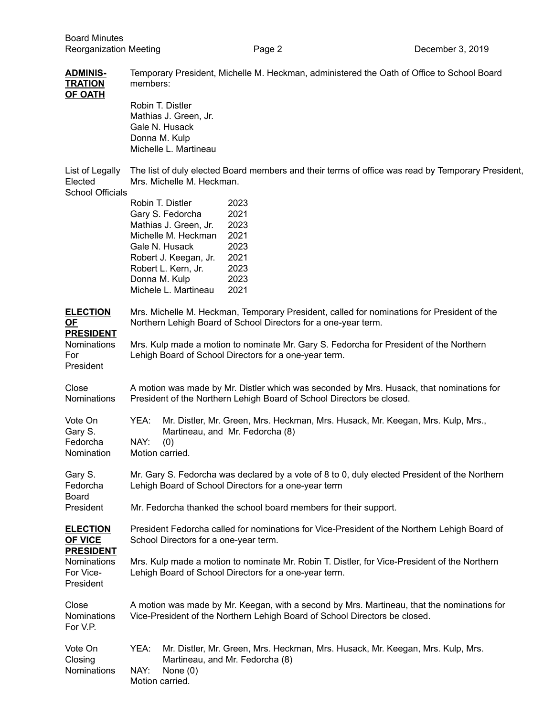| <b>ADMINIS-</b><br><b>TRATION</b><br><b>OF OATH</b>   | Temporary President, Michelle M. Heckman, administered the Oath of Office to School Board<br>members:<br>Robin T. Distler                                                                                                                                                                                       |  |  |  |
|-------------------------------------------------------|-----------------------------------------------------------------------------------------------------------------------------------------------------------------------------------------------------------------------------------------------------------------------------------------------------------------|--|--|--|
|                                                       | Mathias J. Green, Jr.<br>Gale N. Husack<br>Donna M. Kulp<br>Michelle L. Martineau                                                                                                                                                                                                                               |  |  |  |
| List of Legally<br>Elected<br><b>School Officials</b> | The list of duly elected Board members and their terms of office was read by Temporary President,<br>Mrs. Michelle M. Heckman.                                                                                                                                                                                  |  |  |  |
|                                                       | Robin T. Distler<br>2023<br>Gary S. Fedorcha<br>2021<br>Mathias J. Green, Jr.<br>2023<br>Michelle M. Heckman<br>2021<br>Gale N. Husack<br>2023<br>2021<br>Robert J. Keegan, Jr.<br>Robert L. Kern, Jr.<br>2023<br>Donna M. Kulp<br>2023<br>Michele L. Martineau<br>2021                                         |  |  |  |
| <b>ELECTION</b><br>$OF$<br><b>PRESIDENT</b>           | Mrs. Michelle M. Heckman, Temporary President, called for nominations for President of the<br>Northern Lehigh Board of School Directors for a one-year term.<br>Mrs. Kulp made a motion to nominate Mr. Gary S. Fedorcha for President of the Northern<br>Lehigh Board of School Directors for a one-year term. |  |  |  |
| Nominations<br>For<br>President                       |                                                                                                                                                                                                                                                                                                                 |  |  |  |
| Close<br>Nominations                                  | A motion was made by Mr. Distler which was seconded by Mrs. Husack, that nominations for<br>President of the Northern Lehigh Board of School Directors be closed.                                                                                                                                               |  |  |  |
| Vote On<br>Gary S.<br>Fedorcha<br>Nomination          | YEA:<br>Mr. Distler, Mr. Green, Mrs. Heckman, Mrs. Husack, Mr. Keegan, Mrs. Kulp, Mrs.,<br>Martineau, and Mr. Fedorcha (8)<br>NAY:<br>(0)<br>Motion carried.                                                                                                                                                    |  |  |  |
| Gary S.<br>Fedorcha<br><b>Board</b>                   | Mr. Gary S. Fedorcha was declared by a vote of 8 to 0, duly elected President of the Northern<br>Lehigh Board of School Directors for a one-year term<br>Mr. Fedorcha thanked the school board members for their support.                                                                                       |  |  |  |
| President                                             |                                                                                                                                                                                                                                                                                                                 |  |  |  |
| <b>ELECTION</b><br><b>OF VICE</b><br><b>PRESIDENT</b> | President Fedorcha called for nominations for Vice-President of the Northern Lehigh Board of<br>School Directors for a one-year term.                                                                                                                                                                           |  |  |  |
| Nominations<br>For Vice-<br>President                 | Mrs. Kulp made a motion to nominate Mr. Robin T. Distler, for Vice-President of the Northern<br>Lehigh Board of School Directors for a one-year term.                                                                                                                                                           |  |  |  |
| Close<br>Nominations<br>For V.P.                      | A motion was made by Mr. Keegan, with a second by Mrs. Martineau, that the nominations for<br>Vice-President of the Northern Lehigh Board of School Directors be closed.                                                                                                                                        |  |  |  |
| Vote On<br>Closing<br>Nominations                     | YEA:<br>Mr. Distler, Mr. Green, Mrs. Heckman, Mrs. Husack, Mr. Keegan, Mrs. Kulp, Mrs.<br>Martineau, and Mr. Fedorcha (8)<br>NAY:<br>None $(0)$<br>Motion carried.                                                                                                                                              |  |  |  |